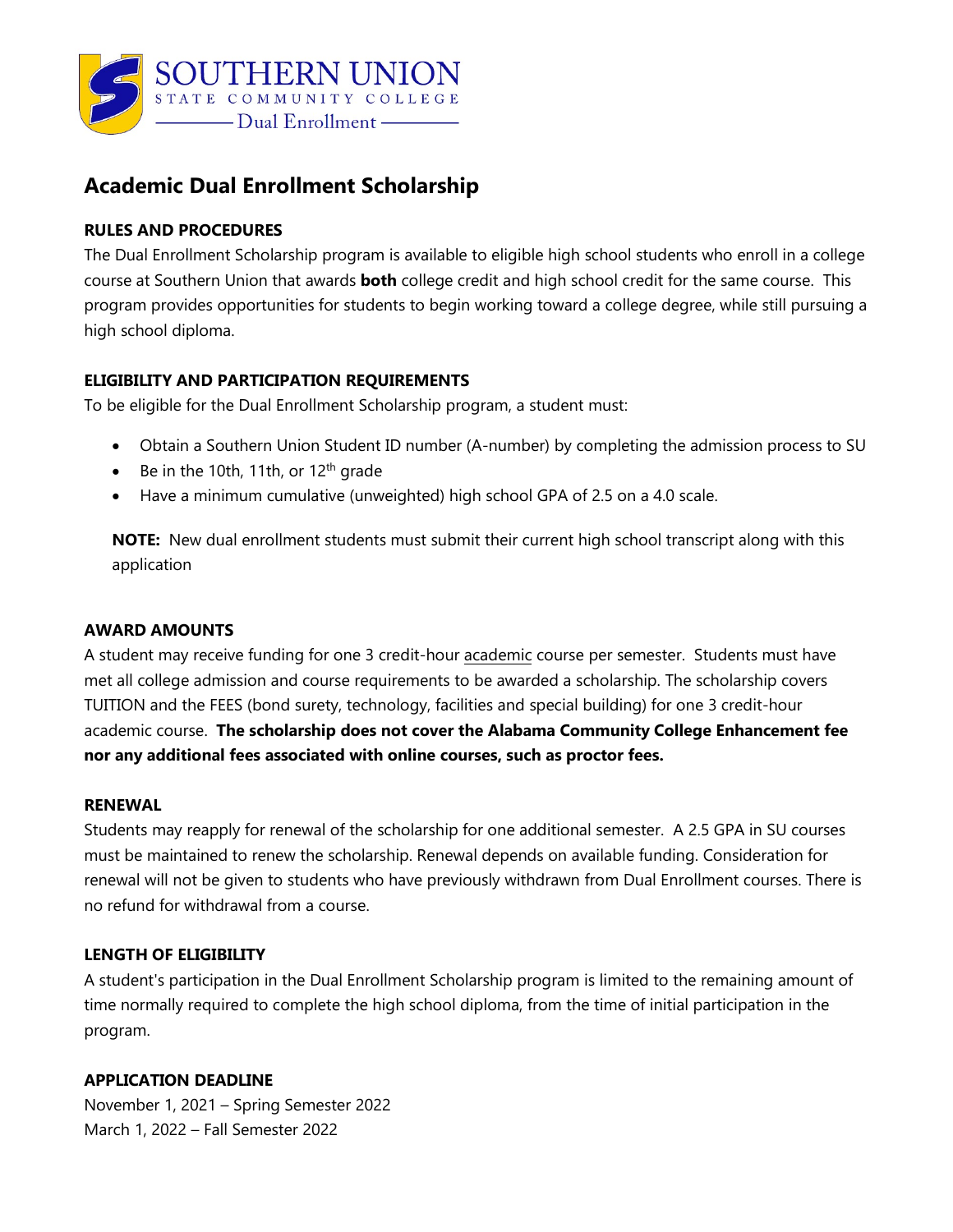

# **Academic Dual Enrollment Scholarship**

### **RULES AND PROCEDURES**

The Dual Enrollment Scholarship program is available to eligible high school students who enroll in a college course at Southern Union that awards **both** college credit and high school credit for the same course. This program provides opportunities for students to begin working toward a college degree, while still pursuing a high school diploma.

# **ELIGIBILITY AND PARTICIPATION REQUIREMENTS**

To be eligible for the Dual Enrollment Scholarship program, a student must:

- Obtain a Southern Union Student ID number (A-number) by completing the admission process to SU
- Be in the 10th, 11th, or  $12<sup>th</sup>$  grade
- Have a minimum cumulative (unweighted) high school GPA of 2.5 on a 4.0 scale.

**NOTE:** New dual enrollment students must submit their current high school transcript along with this application

# **AWARD AMOUNTS**

A student may receive funding for one 3 credit-hour academic course per semester. Students must have met all college admission and course requirements to be awarded a scholarship. The scholarship covers TUITION and the FEES (bond surety, technology, facilities and special building) for one 3 credit-hour academic course. **The scholarship does not cover the Alabama Community College Enhancement fee nor any additional fees associated with online courses, such as proctor fees.**

#### **RENEWAL**

Students may reapply for renewal of the scholarship for one additional semester. A 2.5 GPA in SU courses must be maintained to renew the scholarship. Renewal depends on available funding. Consideration for renewal will not be given to students who have previously withdrawn from Dual Enrollment courses. There is no refund for withdrawal from a course.

# **LENGTH OF ELIGIBILITY**

A student's participation in the Dual Enrollment Scholarship program is limited to the remaining amount of time normally required to complete the high school diploma, from the time of initial participation in the program.

# **APPLICATION DEADLINE**

November 1, 2021 – Spring Semester 2022 March 1, 2022 – Fall Semester 2022